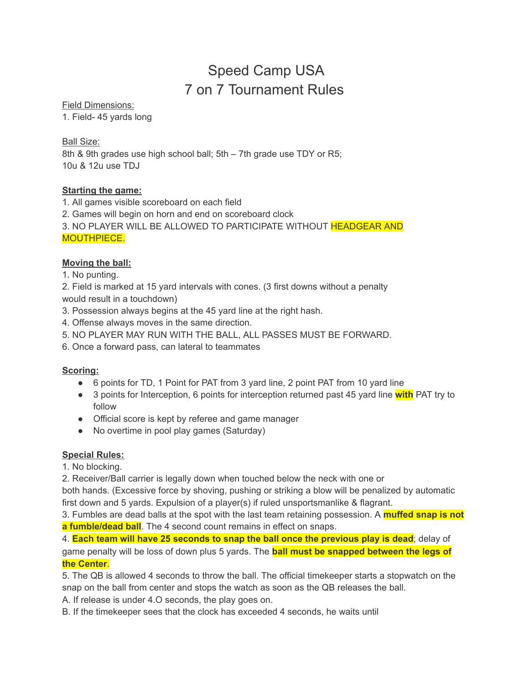# Speed Camp USA 7 on 7 Tournament Rules

Field Dimensions:

1. Field- 45 yards long

Ball Size:

8th & 9th grades use high school ball; 5th – 7th grade use TDY or R5; 10u & 12u use TDJ

# **Starting the game:**

1. All games visible scoreboard on each field

2. Games will begin on horn and end on scoreboard clock

3. NO PLAYER WILL BE ALLOWED TO PARTICIPATE WITHOUT HEADGEAR AND MOUTHPIECE.

# **Moving the ball:**

1. No punting.

2. Field is marked at 15 yard intervals with cones. (3 first downs without a penalty would result in a touchdown)

3. Possession always begins at the 45 yard line at the right hash.

4. Offense always moves in the same direction.

5. NO PLAYER MAY RUN WITH THE BALL, ALL PASSES MUST BE FORWARD.

6. Once a forward pass, can lateral to teammates

### **Scoring:**

- 6 points for TD, 1 Point for PAT from 3 yard line, 2 point PAT from 10 yard line
- 3 points for Interception, 6 points for interception returned past 45 yard line **with** PAT try to follow
- Official score is kept by referee and game manager
- No overtime in pool play games (Saturday)

# **Special Rules:**

1. No blocking.

2. Receiver/Ball carrier is legally down when touched below the neck with one or

both hands. (Excessive force by shoving, pushing or striking a blow will be penalized by automatic first down and 5 yards. Expulsion of a player(s) if ruled unsportsmanlike & flagrant.

3. Fumbles are dead balls at the spot with the last team retaining possession. A **muffed snap is not a fumble/dead ball**. The 4 second count remains in effect on snaps.

4. **Each team will have 25 seconds to snap the ball once the previous play is dead**; delay of game penalty will be loss of down plus 5 yards. The **ball must be snapped between the legs of the Center**.

5. The QB is allowed 4 seconds to throw the ball. The official timekeeper starts a stopwatch on the snap on the ball from center and stops the watch as soon as the QB releases the ball.

A. If release is under 4.O seconds, the play goes on.

B. If the timekeeper sees that the clock has exceeded 4 seconds, he waits until